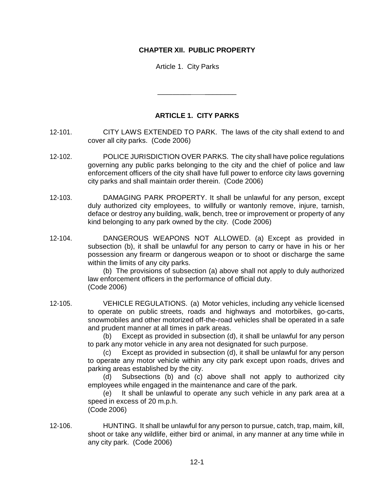## **CHAPTER XII. PUBLIC PROPERTY**

Article 1. City Parks

## **ARTICLE 1. CITY PARKS**

\_\_\_\_\_\_\_\_\_ \_\_\_\_\_\_\_\_

- 12-101. CITY LAWS EXTENDED TO PARK. The laws of the city shall extend to and cover all city parks. (Code 2006)
- 12-102. POLICE JURISDICTION OVER PARKS. The city shall have police regulations governing any public parks belonging to the city and the chief of police and law enforcement officers of the city shall have full power to enforce city laws governing city parks and shall maintain order therein. (Code 2006)
- 12-103. DAMAGING PARK PROPERTY. It shall be unlawful for any person, except duly authorized city employees, to willfully or wantonly remove, injure, tarnish, deface or destroy any building, walk, bench, tree or improvement or property of any kind belonging to any park owned by the city. (Code 2006)
- 12-104. DANGEROUS WEAPONS NOT ALLOWED. (a) Except as provided in subsection (b), it shall be unlawful for any person to carry or have in his or her possession any firearm or dangerous weapon or to shoot or discharge the same within the limits of any city parks.

(b) The provisions of subsection (a) above shall not apply to duly authorized law enforcement officers in the performance of official duty. (Code 2006)

12-105. VEHICLE REGULATIONS. (a) Motor vehicles, including any vehicle licensed to operate on public streets, roads and highways and motorbikes, go-carts, snowmobiles and other motorized off-the-road vehicles shall be operated in a safe and prudent manner at all times in park areas.

(b) Except as provided in subsection (d), it shall be unlawful for any person to park any motor vehicle in any area not designated for such purpose.

(c) Except as provided in subsection (d), it shall be unlawful for any person to operate any motor vehicle within any city park except upon roads, drives and parking areas established by the city.

(d) Subsections (b) and (c) above shall not apply to authorized city employees while engaged in the maintenance and care of the park.

(e) It shall be unlawful to operate any such vehicle in any park area at a speed in excess of 20 m.p.h. (Code 2006)

12-106. HUNTING. It shall be unlawful for any person to pursue, catch, trap, maim, kill, shoot or take any wildlife, either bird or animal, in any manner at any time while in any city park. (Code 2006)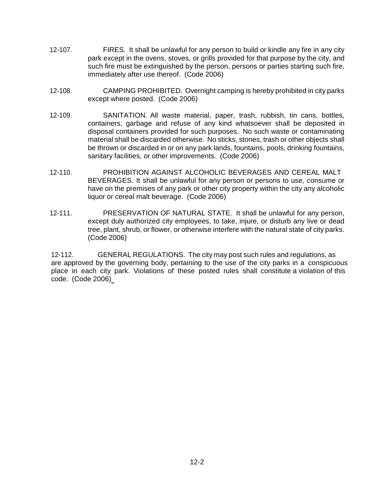- 12-107. FIRES. It shall be unlawful for any person to build or kindle any fire in any city park except in the ovens, stoves, or grills provided for that purpose by the city, and such fire must be extinguished by the person, persons or parties starting such fire, immediately after use thereof. (Code 2006)
- 12-108. CAMPING PROHIBITED. Overnight camping is hereby prohibited in city parks except where posted. (Code 2006)
- 12-109. SANITATION. All waste material, paper, trash, rubbish, tin cans, bottles, containers, garbage and refuse of any kind whatsoever shall be deposited in disposal containers provided for such purposes. No such waste or contaminating material shall be discarded otherwise. No sticks, stones, trash or other objects shall be thrown or discarded in or on any park lands, fountains, pools, drinking fountains, sanitary facilities, or other improvements. (Code 2006)
- 12-110. PROHIBITION AGAINST ALCOHOLIC BEVERAGES AND CEREAL MALT BEVERAGES. It shall be unlawful for any person or persons to use, consume or have on the premises of any park or other city property within the city any alcoholic liquor or cereal malt beverage. (Code 2006)
- 12-111. PRESERVATION OF NATURAL STATE. It shall be unlawful for any person, except duly authorized city employees, to take, injure, or disturb any live or dead tree, plant, shrub, or flower, or otherwise interfere with the natural state of city parks. (Code 2006)

12-112. GENERAL REGULATIONS. The city may post such rules and regulations, as are approved by the governing body, pertaining to the use of the city parks in a conspicuous place in each city park. Violations of these posted rules shall constitute a violation of this code. (Code 2006)